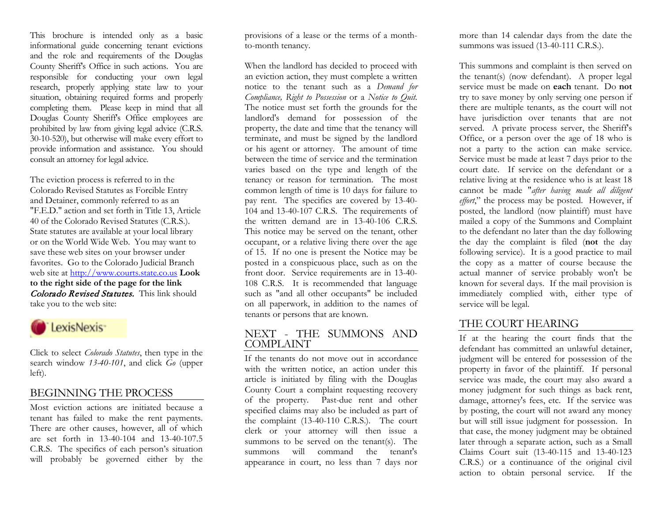This brochure is intended only as a basic informational guide concerning tenant evictions and the role and requirements of the Douglas County Sheriff's Office in such actions. You are responsible for conducting your own legal research, properly applying state law to your situation, obtaining required forms and properly completing them. Please keep in mind that all Douglas County Sheriff's Office employees are prohibited by law from giving legal advice (C.R.S. 30-10-520), but otherwise will make every effort to provide information and assistance. You should consult an attorney for legal advice.

The eviction process is referred to in the Colorado Revised Statutes as Forcible Entry and Detainer, commonly referred to as an "F.E.D." action and set forth in Title 13, Article 40 of the Colorado Revised Statutes (C.R.S.). State statutes are available at your local library or on the World Wide Web. You may want to save these web sites on your browser under favorites. Go to the Colorado Judicial Branch web site at http://www.courts.state.co.us **Look to the right side of the page for the link**  Colorado Revised Statutes. This link should take you to the web site:



Click to select *Colorado Statutes*, then type in the search window *13-40-101*, and click *Go* (upper left).

#### BEGINNING THE PROCESS

Most eviction actions are initiated because a tenant has failed to make the rent payments. There are other causes, however, all of which are set forth in 13-40-104 and 13-40-107.5 C.R.S. The specifics of each person's situation will probably be governed either by the

provisions of a lease or the terms of a monthto-month tenancy.

When the landlord has decided to proceed with an eviction action, they must complete a written notice to the tenant such as a *Demand for Compliance, Right to Possession* or a *Notice to Quit.*  The notice must set forth the grounds for the landlord's demand for possession of the property, the date and time that the tenancy will terminate, and must be signed by the landlord or his agent or attorney. The amount of time between the time of service and the termination varies based on the type and length of the tenancy or reason for termination. The most common length of time is 10 days for failure to pay rent. The specifics are covered by 13-40- 104 and 13-40-107 C.R.S. The requirements of the written demand are in 13-40-106 C.R.S. This notice may be served on the tenant, other occupant, or a relative living there over the age of 15. If no one is present the Notice may be posted in a conspicuous place, such as on the front door. Service requirements are in 13-40- 108 C.R.S. It is recommended that language such as "and all other occupants" be included on all paperwork, in addition to the names of tenants or persons that are known.

### NEXT - THE SUMMONS AND COMPLAINT

If the tenants do not move out in accordance with the written notice, an action under this article is initiated by filing with the Douglas County Court a complaint requesting recovery of the property. Past-due rent and other specified claims may also be included as part of the complaint (13-40-110 C.R.S.). The court clerk or your attorney will then issue a summons to be served on the tenant(s). The summons will command the tenant's appearance in court, no less than 7 days nor

more than 14 calendar days from the date the summons was issued (13-40-111 C.R.S.).

This summons and complaint is then served on the tenant(s) (now defendant). A proper legal service must be made on **each** tenant. Do **not** try to save money by only serving one person if there are multiple tenants, as the court will not have jurisdiction over tenants that are not served. A private process server, the Sheriff's Office, or a person over the age of 18 who is not a party to the action can make service. Service must be made at least 7 days prior to the court date. If service on the defendant or a relative living at the residence who is at least 18 cannot be made "*after having made all diligent effort*," the process may be posted. However, if posted, the landlord (now plaintiff) must have mailed a copy of the Summons and Complaint to the defendant no later than the day following the day the complaint is filed (**not** the day following service). It is a good practice to mail the copy as a matter of course because the actual manner of service probably won't be known for several days. If the mail provision is immediately complied with, either type of service will be legal.

# THE COURT HEARING

If at the hearing the court finds that the defendant has committed an unlawful detainer, judgment will be entered for possession of the property in favor of the plaintiff. If personal service was made, the court may also award a money judgment for such things as back rent, damage, attorney's fees, etc. If the service was by posting, the court will not award any money but will still issue judgment for possession. In that case, the money judgment may be obtained later through a separate action, such as a Small Claims Court suit (13-40-115 and 13-40-123 C.R.S.) or a continuance of the original civil action to obtain personal service. If the